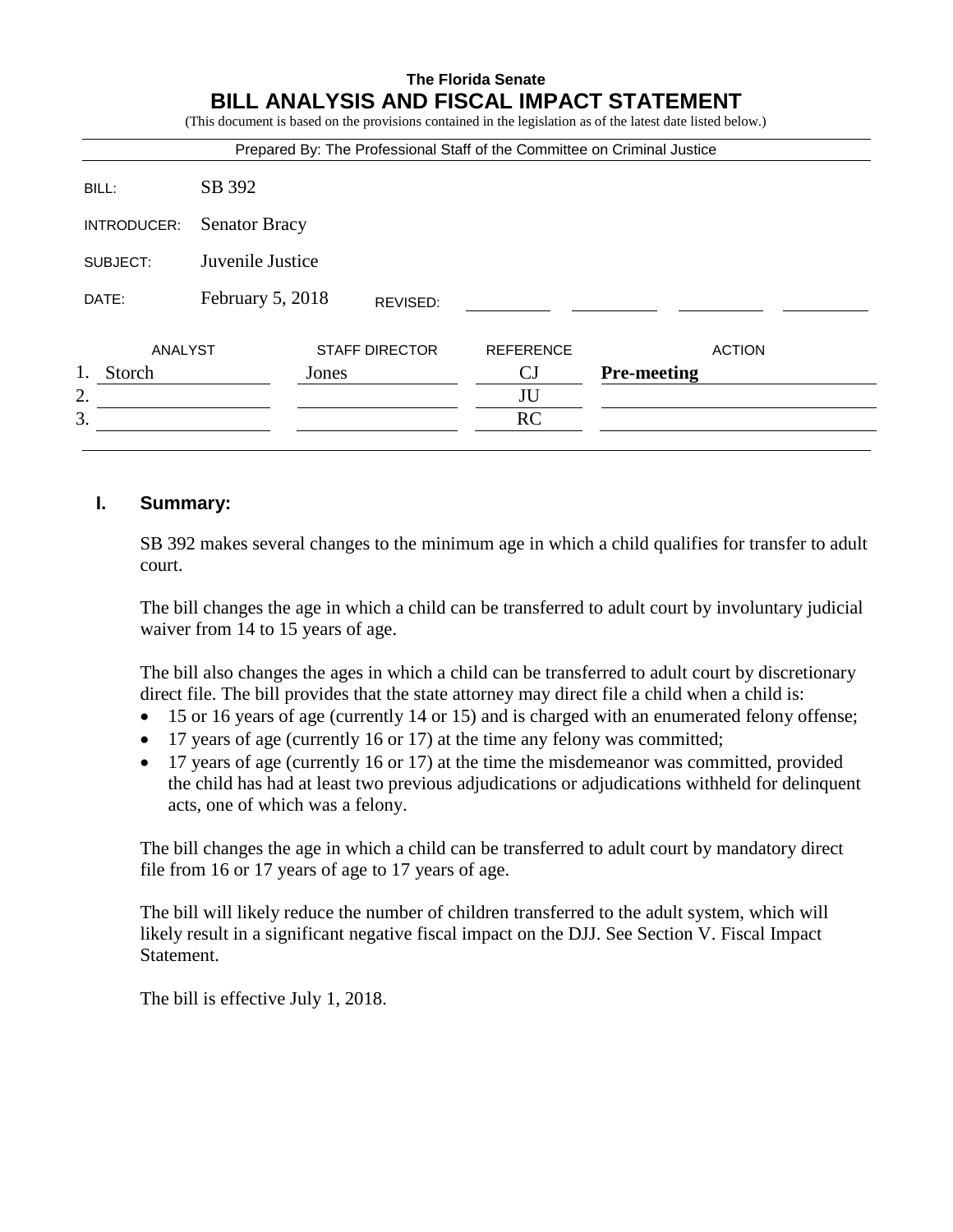# **The Florida Senate BILL ANALYSIS AND FISCAL IMPACT STATEMENT**

(This document is based on the provisions contained in the legislation as of the latest date listed below.)

|              |                      |                       |                  | Prepared By: The Professional Staff of the Committee on Criminal Justice |  |
|--------------|----------------------|-----------------------|------------------|--------------------------------------------------------------------------|--|
| BILL:        | SB 392               |                       |                  |                                                                          |  |
| INTRODUCER:  | <b>Senator Bracy</b> |                       |                  |                                                                          |  |
| SUBJECT:     | Juvenile Justice     |                       |                  |                                                                          |  |
| DATE:        | February 5, 2018     | REVISED:              |                  |                                                                          |  |
| ANALYST      |                      | <b>STAFF DIRECTOR</b> | <b>REFERENCE</b> | <b>ACTION</b>                                                            |  |
| 1.<br>Storch | Jones                |                       | CJ               | <b>Pre-meeting</b>                                                       |  |
| 2.           |                      |                       | JU               |                                                                          |  |
| 3.           |                      |                       | RC               |                                                                          |  |

## **I. Summary:**

SB 392 makes several changes to the minimum age in which a child qualifies for transfer to adult court.

The bill changes the age in which a child can be transferred to adult court by involuntary judicial waiver from 14 to 15 years of age.

The bill also changes the ages in which a child can be transferred to adult court by discretionary direct file. The bill provides that the state attorney may direct file a child when a child is:

- 15 or 16 years of age (currently 14 or 15) and is charged with an enumerated felony offense;
- 17 years of age (currently 16 or 17) at the time any felony was committed;
- 17 years of age (currently 16 or 17) at the time the misdemeanor was committed, provided the child has had at least two previous adjudications or adjudications withheld for delinquent acts, one of which was a felony.

The bill changes the age in which a child can be transferred to adult court by mandatory direct file from 16 or 17 years of age to 17 years of age.

The bill will likely reduce the number of children transferred to the adult system, which will likely result in a significant negative fiscal impact on the DJJ. See Section V. Fiscal Impact Statement.

The bill is effective July 1, 2018.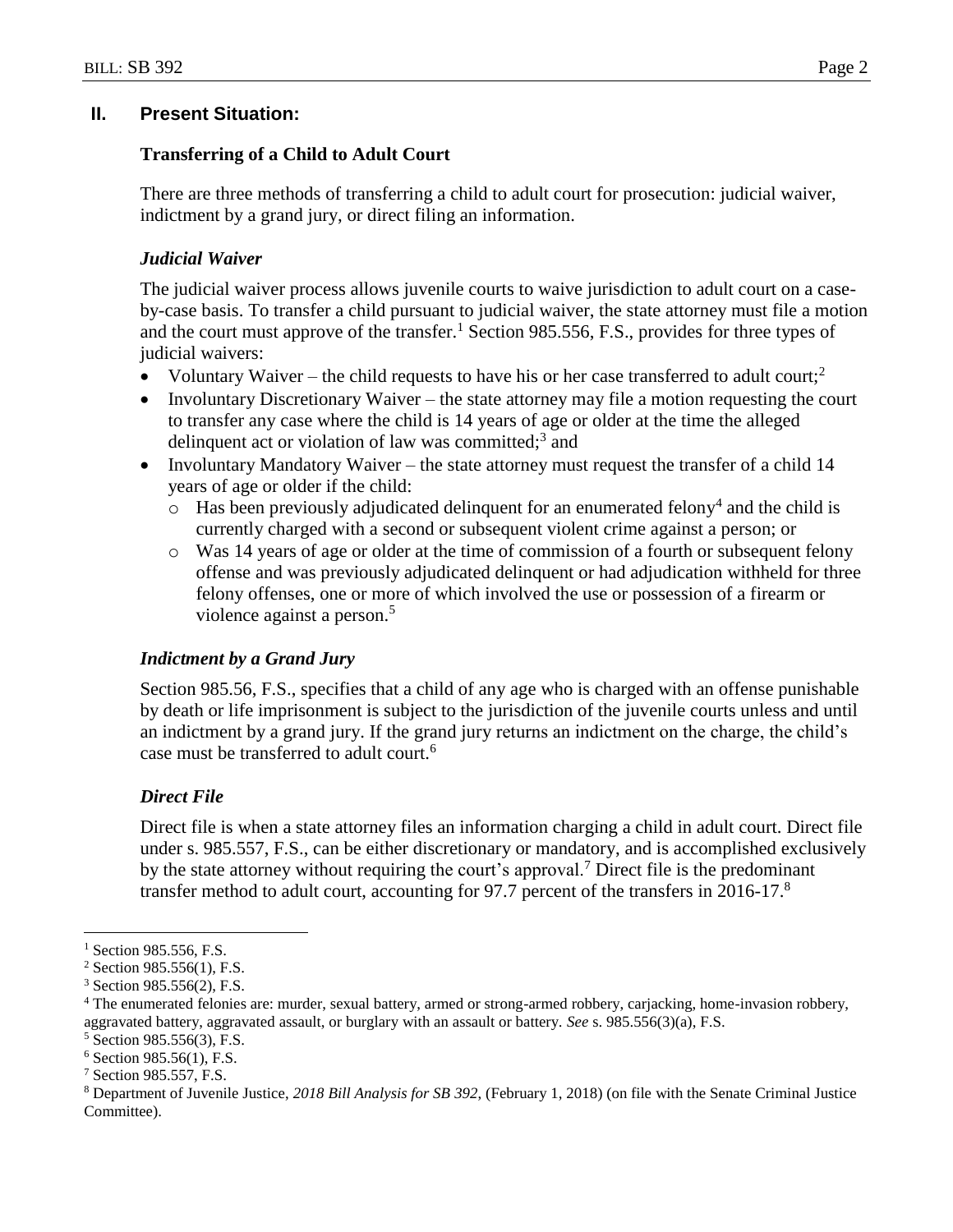## **II. Present Situation:**

### **Transferring of a Child to Adult Court**

There are three methods of transferring a child to adult court for prosecution: judicial waiver, indictment by a grand jury, or direct filing an information.

## *Judicial Waiver*

The judicial waiver process allows juvenile courts to waive jurisdiction to adult court on a caseby-case basis. To transfer a child pursuant to judicial waiver, the state attorney must file a motion and the court must approve of the transfer.<sup>1</sup> Section 985.556, F.S., provides for three types of judicial waivers:

- Voluntary Waiver the child requests to have his or her case transferred to adult court;<sup>2</sup>
- Involuntary Discretionary Waiver the state attorney may file a motion requesting the court to transfer any case where the child is 14 years of age or older at the time the alleged delinquent act or violation of law was committed;<sup>3</sup> and
- Involuntary Mandatory Waiver the state attorney must request the transfer of a child 14 years of age or older if the child:
	- $\circ$  Has been previously adjudicated delinquent for an enumerated felony<sup>4</sup> and the child is currently charged with a second or subsequent violent crime against a person; or
	- o Was 14 years of age or older at the time of commission of a fourth or subsequent felony offense and was previously adjudicated delinquent or had adjudication withheld for three felony offenses, one or more of which involved the use or possession of a firearm or violence against a person.<sup>5</sup>

#### *Indictment by a Grand Jury*

Section 985.56, F.S., specifies that a child of any age who is charged with an offense punishable by death or life imprisonment is subject to the jurisdiction of the juvenile courts unless and until an indictment by a grand jury. If the grand jury returns an indictment on the charge, the child's case must be transferred to adult court.<sup>6</sup>

## *Direct File*

Direct file is when a state attorney files an information charging a child in adult court. Direct file under s. 985.557, F.S., can be either discretionary or mandatory, and is accomplished exclusively by the state attorney without requiring the court's approval.<sup>7</sup> Direct file is the predominant transfer method to adult court, accounting for 97.7 percent of the transfers in 2016-17.<sup>8</sup>

 $\overline{a}$ 

 $<sup>1</sup>$  Section 985.556, F.S.</sup>

<sup>2</sup> Section 985.556(1), F.S.

<sup>3</sup> Section 985.556(2), F.S.

<sup>4</sup> The enumerated felonies are: murder, sexual battery, armed or strong-armed robbery, carjacking, home-invasion robbery, aggravated battery, aggravated assault, or burglary with an assault or battery. *See* s. 985.556(3)(a), F.S.

<sup>5</sup> Section 985.556(3), F.S.

 $6$  Section 985.56(1), F.S.

<sup>7</sup> Section 985.557, F.S.

<sup>8</sup> Department of Juvenile Justice, *2018 Bill Analysis for SB 392*, (February 1, 2018) (on file with the Senate Criminal Justice Committee).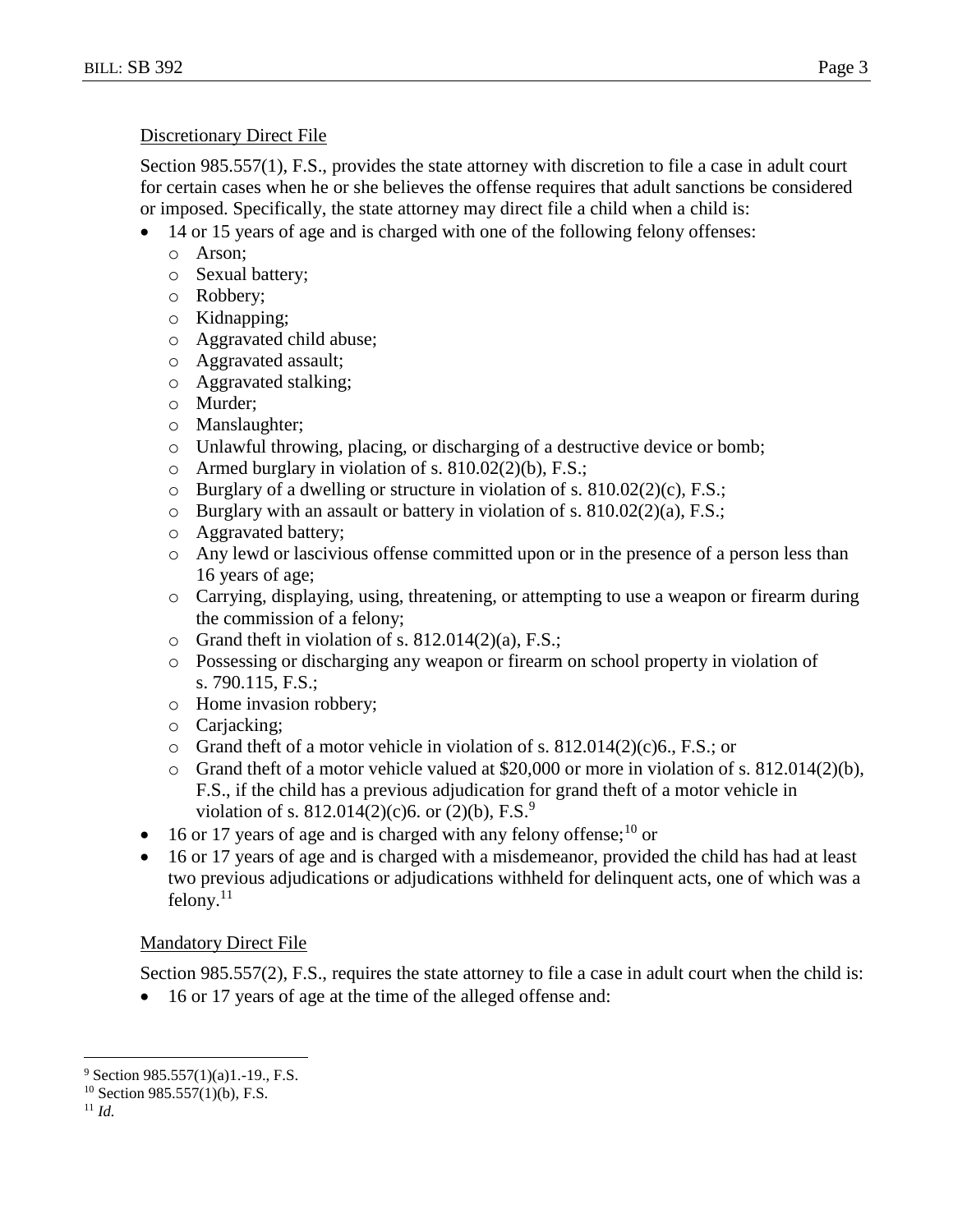#### Discretionary Direct File

Section 985.557(1), F.S., provides the state attorney with discretion to file a case in adult court for certain cases when he or she believes the offense requires that adult sanctions be considered or imposed. Specifically, the state attorney may direct file a child when a child is:

- 14 or 15 years of age and is charged with one of the following felony offenses:
	- o Arson;
	- o Sexual battery;
	- o Robbery;
	- o Kidnapping;
	- o Aggravated child abuse;
	- o Aggravated assault;
	- o Aggravated stalking;
	- o Murder;
	- o Manslaughter;
	- o Unlawful throwing, placing, or discharging of a destructive device or bomb;
	- o Armed burglary in violation of s.  $810.02(2)(b)$ , F.S.;
	- o Burglary of a dwelling or structure in violation of s. 810.02(2)(c), F.S.;
	- o Burglary with an assault or battery in violation of s. 810.02(2)(a), F.S.;
	- o Aggravated battery;
	- o Any lewd or lascivious offense committed upon or in the presence of a person less than 16 years of age;
	- o Carrying, displaying, using, threatening, or attempting to use a weapon or firearm during the commission of a felony;
	- $\circ$  Grand theft in violation of s. 812.014(2)(a), F.S.;
	- o Possessing or discharging any weapon or firearm on school property in violation of s. 790.115, F.S.;
	- o Home invasion robbery;
	- o Carjacking;
	- o Grand theft of a motor vehicle in violation of s. 812.014(2)(c)6., F.S.; or
	- o Grand theft of a motor vehicle valued at \$20,000 or more in violation of s. 812.014(2)(b), F.S., if the child has a previous adjudication for grand theft of a motor vehicle in violation of s. 812.014(2)(c)6. or (2)(b), F.S.<sup>9</sup>
- $\bullet$  16 or 17 years of age and is charged with any felony offense; <sup>10</sup> or
- 16 or 17 years of age and is charged with a misdemeanor, provided the child has had at least two previous adjudications or adjudications withheld for delinquent acts, one of which was a  $felony.<sup>11</sup>$

## Mandatory Direct File

Section 985.557(2), F.S., requires the state attorney to file a case in adult court when the child is:

• 16 or 17 years of age at the time of the alleged offense and:

 $\overline{a}$ 

 $9$  Section 985.557(1)(a)1.-19., F.S.

 $10$  Section 985.557(1)(b), F.S.

<sup>11</sup> *Id.*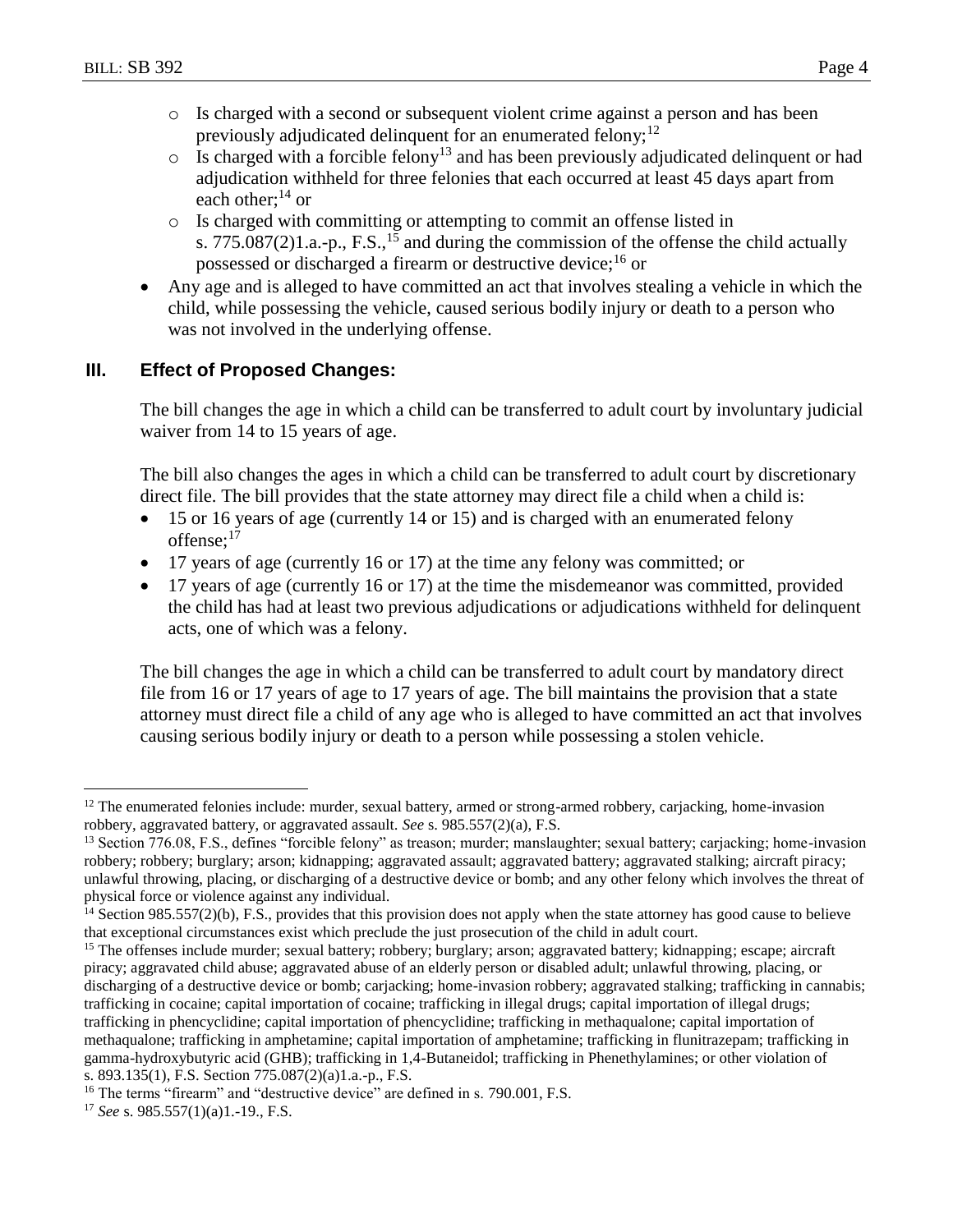- o Is charged with a second or subsequent violent crime against a person and has been previously adjudicated delinquent for an enumerated felony; $^{12}$
- $\circ$  Is charged with a forcible felony<sup>13</sup> and has been previously adjudicated delinquent or had adjudication withheld for three felonies that each occurred at least 45 days apart from each other: $^{14}$  or
- o Is charged with committing or attempting to commit an offense listed in s. 775.087(2)1.a.-p., F.S.,<sup>15</sup> and during the commission of the offense the child actually possessed or discharged a firearm or destructive device;<sup>16</sup> or
- Any age and is alleged to have committed an act that involves stealing a vehicle in which the child, while possessing the vehicle, caused serious bodily injury or death to a person who was not involved in the underlying offense.

# **III. Effect of Proposed Changes:**

The bill changes the age in which a child can be transferred to adult court by involuntary judicial waiver from 14 to 15 years of age.

The bill also changes the ages in which a child can be transferred to adult court by discretionary direct file. The bill provides that the state attorney may direct file a child when a child is:

- 15 or 16 years of age (currently 14 or 15) and is charged with an enumerated felony offense: $17$
- 17 years of age (currently 16 or 17) at the time any felony was committed; or
- 17 years of age (currently 16 or 17) at the time the misdemeanor was committed, provided the child has had at least two previous adjudications or adjudications withheld for delinquent acts, one of which was a felony.

The bill changes the age in which a child can be transferred to adult court by mandatory direct file from 16 or 17 years of age to 17 years of age. The bill maintains the provision that a state attorney must direct file a child of any age who is alleged to have committed an act that involves causing serious bodily injury or death to a person while possessing a stolen vehicle.

 $\overline{a}$  $12$  The enumerated felonies include: murder, sexual battery, armed or strong-armed robbery, carjacking, home-invasion robbery, aggravated battery, or aggravated assault. *See* s. 985.557(2)(a), F.S.

<sup>&</sup>lt;sup>13</sup> Section 776.08, F.S., defines "forcible felony" as treason; murder; manslaughter; sexual battery; carjacking; home-invasion robbery; robbery; burglary; arson; kidnapping; aggravated assault; aggravated battery; aggravated stalking; aircraft piracy; unlawful throwing, placing, or discharging of a destructive device or bomb; and any other felony which involves the threat of physical force or violence against any individual.

 $14$  Section 985.557(2)(b), F.S., provides that this provision does not apply when the state attorney has good cause to believe that exceptional circumstances exist which preclude the just prosecution of the child in adult court.

<sup>&</sup>lt;sup>15</sup> The offenses include murder; sexual battery; robbery; burglary; arson; aggravated battery; kidnapping; escape; aircraft piracy; aggravated child abuse; aggravated abuse of an elderly person or disabled adult; unlawful throwing, placing, or discharging of a destructive device or bomb; carjacking; home-invasion robbery; aggravated stalking; trafficking in cannabis; trafficking in cocaine; capital importation of cocaine; trafficking in illegal drugs; capital importation of illegal drugs; trafficking in phencyclidine; capital importation of phencyclidine; trafficking in methaqualone; capital importation of methaqualone; trafficking in amphetamine; capital importation of amphetamine; trafficking in flunitrazepam; trafficking in gamma-hydroxybutyric acid (GHB); trafficking in 1,4-Butaneidol; trafficking in Phenethylamines; or other violation of s. 893.135(1), F.S. Section 775.087(2)(a)1.a.-p., F.S.

<sup>&</sup>lt;sup>16</sup> The terms "firearm" and "destructive device" are defined in s. 790.001, F.S.

<sup>17</sup> *See* s. 985.557(1)(a)1.-19., F.S.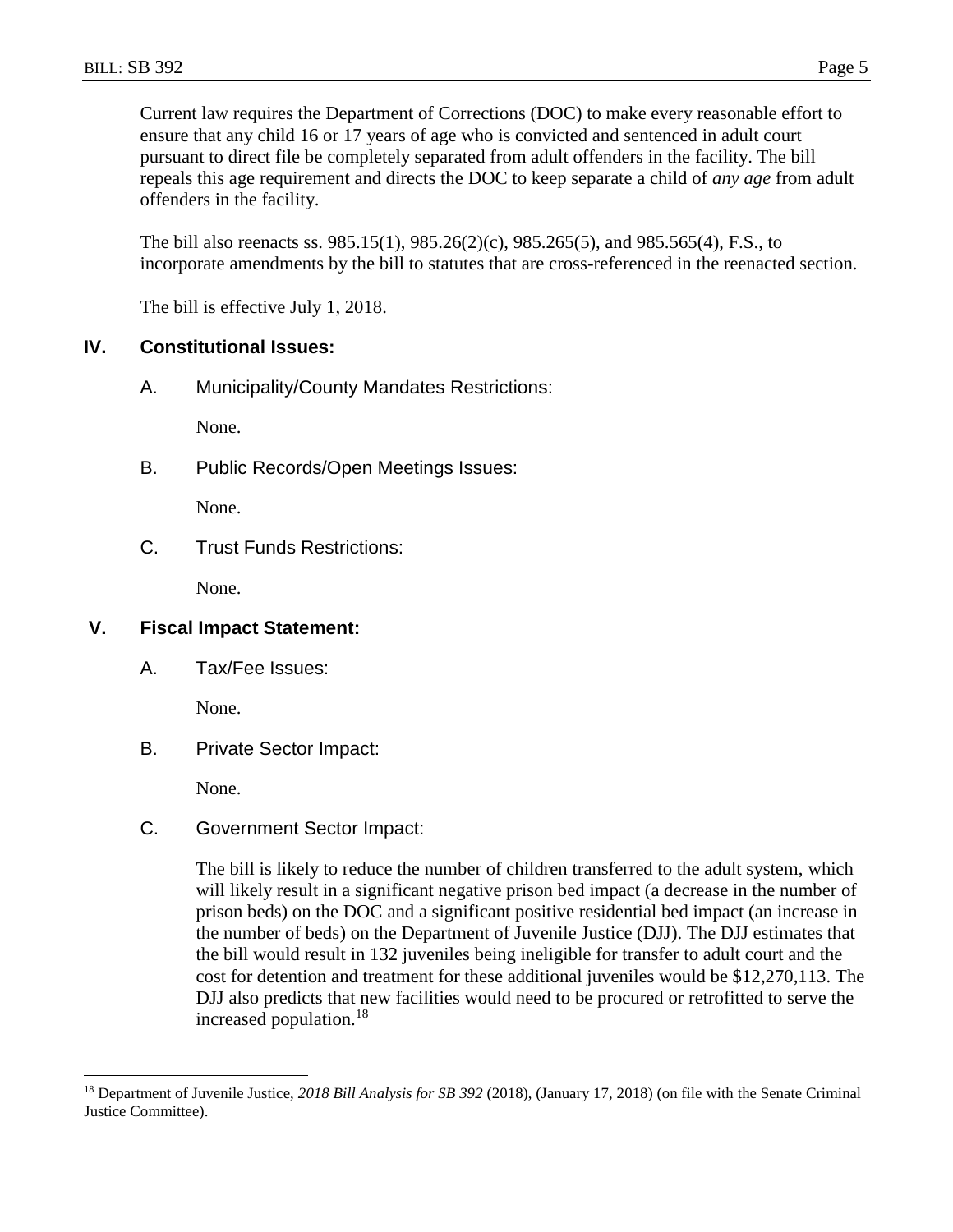Current law requires the Department of Corrections (DOC) to make every reasonable effort to ensure that any child 16 or 17 years of age who is convicted and sentenced in adult court pursuant to direct file be completely separated from adult offenders in the facility. The bill repeals this age requirement and directs the DOC to keep separate a child of *any age* from adult offenders in the facility.

The bill also reenacts ss. 985.15(1), 985.26(2)(c), 985.265(5), and 985.565(4), F.S., to incorporate amendments by the bill to statutes that are cross-referenced in the reenacted section.

The bill is effective July 1, 2018.

## **IV. Constitutional Issues:**

A. Municipality/County Mandates Restrictions:

None.

B. Public Records/Open Meetings Issues:

None.

C. Trust Funds Restrictions:

None.

# **V. Fiscal Impact Statement:**

A. Tax/Fee Issues:

None.

B. Private Sector Impact:

None.

 $\overline{a}$ 

C. Government Sector Impact:

The bill is likely to reduce the number of children transferred to the adult system, which will likely result in a significant negative prison bed impact (a decrease in the number of prison beds) on the DOC and a significant positive residential bed impact (an increase in the number of beds) on the Department of Juvenile Justice (DJJ). The DJJ estimates that the bill would result in 132 juveniles being ineligible for transfer to adult court and the cost for detention and treatment for these additional juveniles would be \$12,270,113. The DJJ also predicts that new facilities would need to be procured or retrofitted to serve the increased population.<sup>18</sup>

<sup>18</sup> Department of Juvenile Justice, *2018 Bill Analysis for SB 392* (2018), (January 17, 2018) (on file with the Senate Criminal Justice Committee).